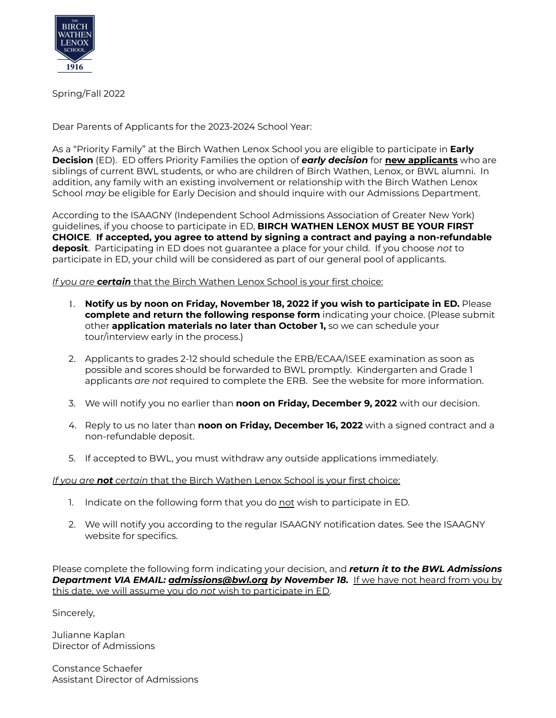

Spring/Fall 2022

Dear Parents of Applicants for the 2023-2024 School Year:

As a "Priority Family" at the Birch Wathen Lenox School you are eligible to participate in **Early Decision** (ED). ED offers Priority Families the option of *early decision* for **new applicants** who are siblings of current BWL students, or who are children of Birch Wathen, Lenox, or BWL alumni. In addition, any family with an existing involvement or relationship with the Birch Wathen Lenox School *may* be eligible for Early Decision and should inquire with our Admissions Department.

According to the ISAAGNY (Independent School Admissions Association of Greater New York) guidelines, if you choose to participate in ED, **BIRCH WATHEN LENOX MUST BE YOUR FIRST CHOICE**. **If accepted, you agree to attend by signing a contract and paying a non-refundable deposit**. Participating in ED does not guarantee a place for your child. If you choose *not* to participate in ED, your child will be considered as part of our general pool of applicants.

*If you are certain* that the Birch Wathen Lenox School is your first choice:

- 1. **Notify us by noon on Friday, November 18, 2022 if you wish to participate in ED.** Please **complete and return the following response form** indicating your choice. (Please submit other **application materials no later than October 1,** so we can schedule your tour/interview early in the process.)
- 2. Applicants to grades 2-12 should schedule the ERB/ECAA/ISEE examination as soon as possible and scores should be forwarded to BWL promptly. Kindergarten and Grade 1 applicants *are not* required to complete the ERB. See the website for more information.
- 3. We will notify you no earlier than **noon on Friday, December 9, 2022** with our decision.
- 4. Reply to us no later than **noon on Friday, December 16, 2022** with a signed contract and a non-refundable deposit.
- 5. If accepted to BWL, you must withdraw any outside applications immediately.

*If you are not certain* that the Birch Wathen Lenox School is your first choice:

- 1. Indicate on the following form that you do not wish to participate in ED.
- 2. We will notify you according to the regular ISAAGNY notification dates. See the ISAAGNY website for specifics.

Please complete the following form indicating your decision, and *return it to the BWL Admissions Department VIA EMAIL: [admissions@bwl.org](mailto:admissions@bwl.org) by November 18.* If we have not heard from you by this date, we will assume you do *not* wish to participate in ED.

Sincerely,

Julianne Kaplan Director of Admissions

Constance Schaefer Assistant Director of Admissions